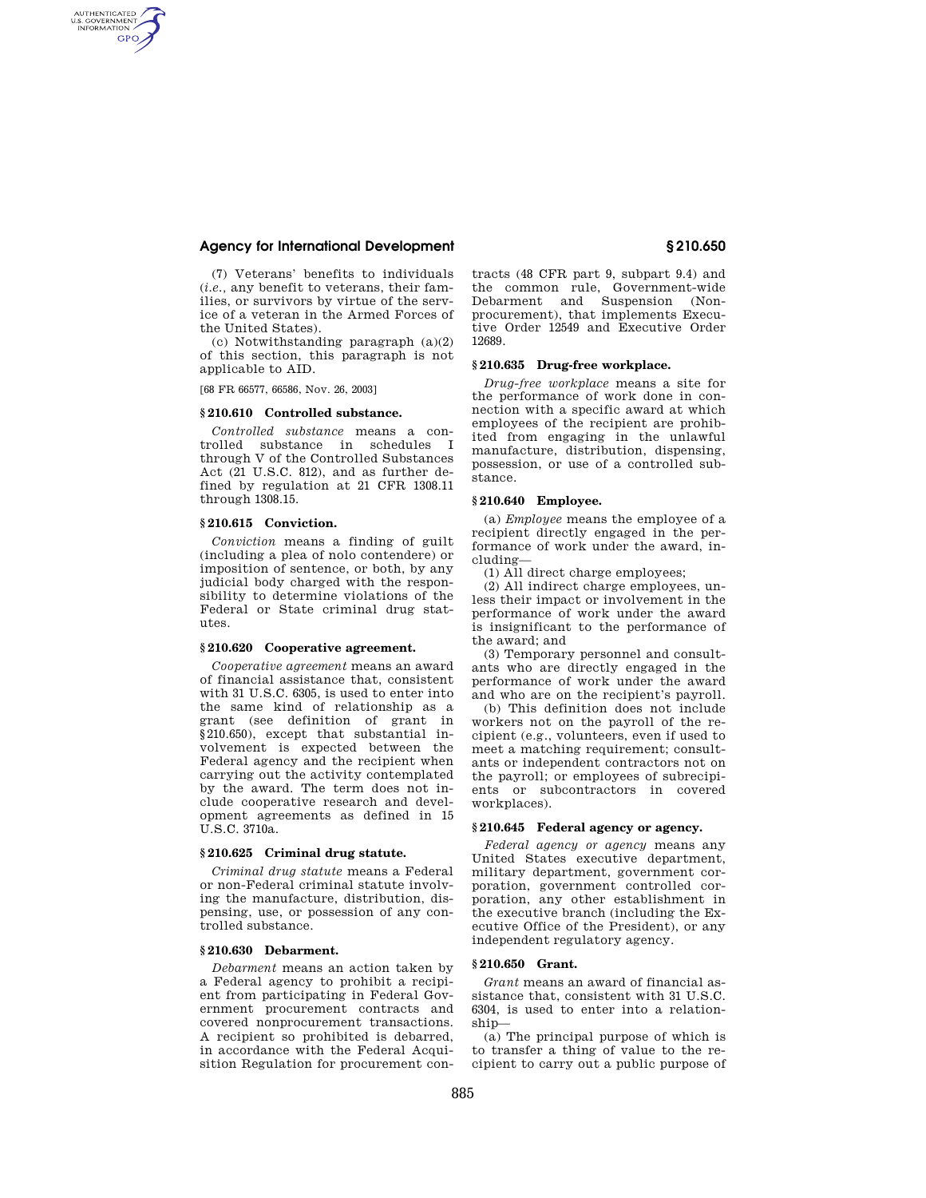# **Agency for International Development § 210.650**

(7) Veterans' benefits to individuals (*i.e.,* any benefit to veterans, their families, or survivors by virtue of the service of a veteran in the Armed Forces of the United States).

(c) Notwithstanding paragraph (a)(2) of this section, this paragraph is not applicable to AID.

[68 FR 66577, 66586, Nov. 26, 2003]

AUTHENTICATED<br>U.S. GOVERNMENT<br>INFORMATION **GPO** 

#### **§ 210.610 Controlled substance.**

*Controlled substance* means a controlled substance in schedules I through V of the Controlled Substances Act (21 U.S.C. 812), and as further defined by regulation at 21 CFR 1308.11 through 1308.15.

# **§ 210.615 Conviction.**

*Conviction* means a finding of guilt (including a plea of nolo contendere) or imposition of sentence, or both, by any judicial body charged with the responsibility to determine violations of the Federal or State criminal drug statutes.

# **§ 210.620 Cooperative agreement.**

*Cooperative agreement* means an award of financial assistance that, consistent with 31 U.S.C. 6305, is used to enter into the same kind of relationship as a grant (see definition of grant in §210.650), except that substantial involvement is expected between the Federal agency and the recipient when carrying out the activity contemplated by the award. The term does not include cooperative research and development agreements as defined in 15 U.S.C. 3710a.

#### **§ 210.625 Criminal drug statute.**

*Criminal drug statute* means a Federal or non-Federal criminal statute involving the manufacture, distribution, dispensing, use, or possession of any controlled substance.

# **§ 210.630 Debarment.**

*Debarment* means an action taken by a Federal agency to prohibit a recipient from participating in Federal Government procurement contracts and covered nonprocurement transactions. A recipient so prohibited is debarred, in accordance with the Federal Acquisition Regulation for procurement contracts (48 CFR part 9, subpart 9.4) and the common rule, Government-wide Debarment and Suspension (Nonprocurement), that implements Executive Order 12549 and Executive Order 12689.

# **§ 210.635 Drug-free workplace.**

*Drug-free workplace* means a site for the performance of work done in connection with a specific award at which employees of the recipient are prohibited from engaging in the unlawful manufacture, distribution, dispensing, possession, or use of a controlled substance.

#### **§ 210.640 Employee.**

(a) *Employee* means the employee of a recipient directly engaged in the performance of work under the award, including—

(1) All direct charge employees;

(2) All indirect charge employees, unless their impact or involvement in the performance of work under the award is insignificant to the performance of the award; and

(3) Temporary personnel and consultants who are directly engaged in the performance of work under the award and who are on the recipient's payroll.

(b) This definition does not include workers not on the payroll of the recipient (e.g., volunteers, even if used to meet a matching requirement; consultants or independent contractors not on the payroll; or employees of subrecipients or subcontractors in covered workplaces).

#### **§ 210.645 Federal agency or agency.**

*Federal agency or agency* means any United States executive department, military department, government corporation, government controlled corporation, any other establishment in the executive branch (including the Executive Office of the President), or any independent regulatory agency.

# **§ 210.650 Grant.**

*Grant* means an award of financial assistance that, consistent with 31 U.S.C. 6304, is used to enter into a relationship—

(a) The principal purpose of which is to transfer a thing of value to the recipient to carry out a public purpose of